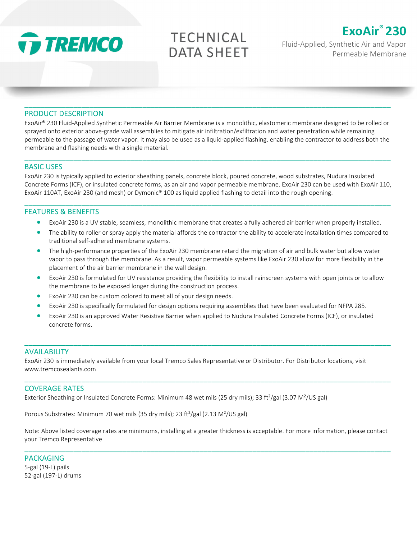

**TECHNICAL DATA SHEET** 



Fluid-Applied, Synthetic Air and Vapor Permeable Membrane

#### PRODUCT DESCRIPTION

ExoAir® 230 Fluid-Applied Synthetic Permeable Air Barrier Membrane is a monolithic, elastomeric membrane designed to be rolled or sprayed onto exterior above-grade wall assemblies to mitigate air infiltration/exfiltration and water penetration while remaining permeable to the passage of water vapor. It may also be used as a liquid-applied flashing, enabling the contractor to address both the membrane and flashing needs with a single material.

\_\_\_\_\_\_\_\_\_\_\_\_\_\_\_\_\_\_\_\_\_\_\_\_\_\_\_\_\_\_\_\_\_\_\_\_\_\_\_\_\_\_\_\_\_\_\_\_\_\_\_\_\_\_\_\_\_\_\_\_\_\_\_\_\_\_\_\_\_\_\_\_\_\_\_\_\_\_\_\_\_\_\_\_\_\_\_\_\_\_

\_\_\_\_\_\_\_\_\_\_\_\_\_\_\_\_\_\_\_\_\_\_\_\_\_\_\_\_\_\_\_\_\_\_\_\_\_\_\_\_\_\_\_\_\_\_\_\_\_\_\_\_\_\_\_\_\_\_\_\_\_\_\_\_\_\_\_\_\_\_\_\_\_\_\_\_\_\_\_\_\_\_\_\_\_\_\_\_\_\_

#### BASIC USES

ExoAir 230 is typically applied to exterior sheathing panels, concrete block, poured concrete, wood substrates, Nudura Insulated Concrete Forms (ICF), or insulated concrete forms, as an air and vapor permeable membrane. ExoAir 230 can be used with ExoAir 110, ExoAir 110AT, ExoAir 230 (and mesh) or Dymonic® 100 as liquid applied flashing to detail into the rough opening.

\_\_\_\_\_\_\_\_\_\_\_\_\_\_\_\_\_\_\_\_\_\_\_\_\_\_\_\_\_\_\_\_\_\_\_\_\_\_\_\_\_\_\_\_\_\_\_\_\_\_\_\_\_\_\_\_\_\_\_\_\_\_\_\_\_\_\_\_\_\_\_\_\_\_\_\_\_\_\_\_\_\_\_\_\_\_\_\_\_\_

#### FEATURES & BENEFITS

- ExoAir 230 is a UV stable, seamless, monolithic membrane that creates a fully adhered air barrier when properly installed.
- The ability to roller or spray apply the material affords the contractor the ability to accelerate installation times compared to traditional self-adhered membrane systems.
- The high-performance properties of the ExoAir 230 membrane retard the migration of air and bulk water but allow water vapor to pass through the membrane. As a result, vapor permeable systems like ExoAir 230 allow for more flexibility in the placement of the air barrier membrane in the wall design.
- ExoAir 230 is formulated for UV resistance providing the flexibility to install rainscreen systems with open joints or to allow the membrane to be exposed longer during the construction process.
- ExoAir 230 can be custom colored to meet all of your design needs.
- ExoAir 230 is specifically formulated for design options requiring assemblies that have been evaluated for NFPA 285.
- ExoAir 230 is an approved Water Resistive Barrier when applied to Nudura Insulated Concrete Forms (ICF), or insulated concrete forms.

\_\_\_\_\_\_\_\_\_\_\_\_\_\_\_\_\_\_\_\_\_\_\_\_\_\_\_\_\_\_\_\_\_\_\_\_\_\_\_\_\_\_\_\_\_\_\_\_\_\_\_\_\_\_\_\_\_\_\_\_\_\_\_\_\_\_\_\_\_\_\_\_\_\_\_\_\_\_\_\_\_\_\_\_\_\_\_\_\_\_

\_\_\_\_\_\_\_\_\_\_\_\_\_\_\_\_\_\_\_\_\_\_\_\_\_\_\_\_\_\_\_\_\_\_\_\_\_\_\_\_\_\_\_\_\_\_\_\_\_\_\_\_\_\_\_\_\_\_\_\_\_\_\_\_\_\_\_\_\_\_\_\_\_\_\_\_\_\_\_\_\_\_\_\_\_\_\_\_\_\_

#### AVAILABILITY

ExoAir 230 is immediately available from your local Tremco Sales Representative or Distributor. For Distributor locations, visit www.tremcosealants.com

#### COVERAGE RATES

Exterior Sheathing or Insulated Concrete Forms: Minimum 48 wet mils (25 dry mils); 33 ft<sup>2</sup>/gal (3.07 M<sup>2</sup>/US gal)

Porous Substrates: Minimum 70 wet mils (35 dry mils); 23 ft<sup>2</sup>/gal (2.13 M<sup>2</sup>/US gal)

Note: Above listed coverage rates are minimums, installing at a greater thickness is acceptable. For more information, please contact your Tremco Representative

\_\_\_\_\_\_\_\_\_\_\_\_\_\_\_\_\_\_\_\_\_\_\_\_\_\_\_\_\_\_\_\_\_\_\_\_\_\_\_\_\_\_\_\_\_\_\_\_\_\_\_\_\_\_\_\_\_\_\_\_\_\_\_\_\_\_\_\_\_\_\_\_\_\_\_\_\_\_\_\_\_\_\_\_\_\_\_\_\_\_

PACKAGING 5-gal (19-L) pails 52-gal (197-L) drums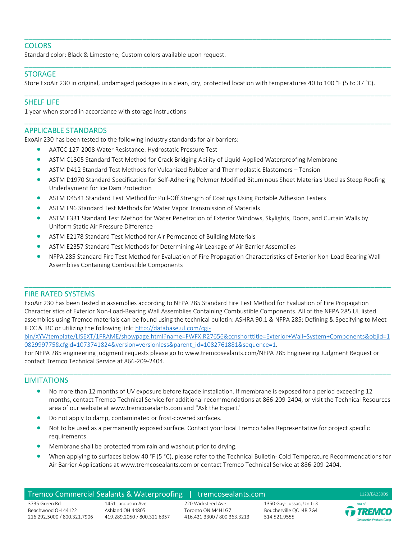### **COLORS**

Standard color: Black & Limestone; Custom colors available upon request.

#### STORAGE

Store ExoAir 230 in original, undamaged packages in a clean, dry, protected location with temperatures 40 to 100 °F (5 to 37 °C).

\_\_\_\_\_\_\_\_\_\_\_\_\_\_\_\_\_\_\_\_\_\_\_\_\_\_\_\_\_\_\_\_\_\_\_\_\_\_\_\_\_\_\_\_\_\_\_\_\_\_\_\_\_\_\_\_\_\_\_\_\_\_\_\_\_\_\_\_\_\_\_\_\_\_\_\_\_\_\_\_\_\_\_\_\_\_\_\_\_\_

\_\_\_\_\_\_\_\_\_\_\_\_\_\_\_\_\_\_\_\_\_\_\_\_\_\_\_\_\_\_\_\_\_\_\_\_\_\_\_\_\_\_\_\_\_\_\_\_\_\_\_\_\_\_\_\_\_\_\_\_\_\_\_\_\_\_\_\_\_\_\_\_\_\_\_\_\_\_\_\_\_\_\_\_\_\_\_\_\_\_

\_\_\_\_\_\_\_\_\_\_\_\_\_\_\_\_\_\_\_\_\_\_\_\_\_\_\_\_\_\_\_\_\_\_\_\_\_\_\_\_\_\_\_\_\_\_\_\_\_\_\_\_\_\_\_\_\_\_\_\_\_\_\_\_\_\_\_\_\_\_\_\_\_\_\_\_\_\_\_\_\_\_\_\_\_\_\_\_\_\_

\_\_\_\_\_\_\_\_\_\_\_\_\_\_\_\_\_\_\_\_\_\_\_\_\_\_\_\_\_\_\_\_\_\_\_\_\_\_\_\_\_\_\_\_\_\_\_\_\_\_\_\_\_\_\_\_\_\_\_\_\_\_\_\_\_\_\_\_\_\_\_\_\_\_\_\_\_\_\_\_\_\_\_\_\_\_\_\_\_\_

### SHELF LIFE

1 year when stored in accordance with storage instructions

### APPLICABLE STANDARDS

ExoAir 230 has been tested to the following industry standards for air barriers:

- AATCC 127-2008 Water Resistance: Hydrostatic Pressure Test
- ASTM C1305 Standard Test Method for Crack Bridging Ability of Liquid-Applied Waterproofing Membrane
- ASTM D412 Standard Test Methods for Vulcanized Rubber and Thermoplastic Elastomers Tension
- ASTM D1970 Standard Specification for Self-Adhering Polymer Modified Bituminous Sheet Materials Used as Steep Roofing Underlayment for Ice Dam Protection
- ASTM D4541 Standard Test Method for Pull-Off Strength of Coatings Using Portable Adhesion Testers
- ASTM E96 Standard Test Methods for Water Vapor Transmission of Materials
- ASTM E331 Standard Test Method for Water Penetration of Exterior Windows, Skylights, Doors, and Curtain Walls by Uniform Static Air Pressure Difference
- ASTM E2178 Standard Test Method for Air Permeance of Building Materials
- ASTM E2357 Standard Test Methods for Determining Air Leakage of Air Barrier Assemblies
- NFPA 285 Standard Fire Test Method for Evaluation of Fire Propagation Characteristics of Exterior Non-Load-Bearing Wall Assemblies Containing Combustible Components

\_\_\_\_\_\_\_\_\_\_\_\_\_\_\_\_\_\_\_\_\_\_\_\_\_\_\_\_\_\_\_\_\_\_\_\_\_\_\_\_\_\_\_\_\_\_\_\_\_\_\_\_\_\_\_\_\_\_\_\_\_\_\_\_\_\_\_\_\_\_\_\_\_\_\_\_\_\_\_\_\_\_\_\_\_\_\_\_\_\_

#### FIRE RATED SYSTEMS

ExoAir 230 has been tested in assemblies according to NFPA 285 Standard Fire Test Method for Evaluation of Fire Propagation Characteristics of Exterior Non-Load-Bearing Wall Assemblies Containing Combustible Components. All of the NFPA 285 UL listed assemblies using Tremco materials can be found using the technical bulletin: ASHRA 90.1 & NFPA 285: Defining & Specifying to Meet IECC & IBC or utilizing the following link[: http://database.ul.com/cgi-](http://database.ul.com/cgi-bin/XYV/template/LISEXT/1FRAME/showpage.html?name=FWFX.R27656&ccnshorttitle=Exterior+Wall+System+Components&objid=1082999775&cfgid=1073741824&version=versionless&parent_id=1082761881&sequence=1)

[bin/XYV/template/LISEXT/1FRAME/showpage.html?name=FWFX.R27656&ccnshorttitle=Exterior+Wall+System+Components&objid=1](http://database.ul.com/cgi-bin/XYV/template/LISEXT/1FRAME/showpage.html?name=FWFX.R27656&ccnshorttitle=Exterior+Wall+System+Components&objid=1082999775&cfgid=1073741824&version=versionless&parent_id=1082761881&sequence=1) [082999775&cfgid=1073741824&version=versionless&parent\\_id=1082761881&sequence=1.](http://database.ul.com/cgi-bin/XYV/template/LISEXT/1FRAME/showpage.html?name=FWFX.R27656&ccnshorttitle=Exterior+Wall+System+Components&objid=1082999775&cfgid=1073741824&version=versionless&parent_id=1082761881&sequence=1)

\_\_\_\_\_\_\_\_\_\_\_\_\_\_\_\_\_\_\_\_\_\_\_\_\_\_\_\_\_\_\_\_\_\_\_\_\_\_\_\_\_\_\_\_\_\_\_\_\_\_\_\_\_\_\_\_\_\_\_\_\_\_\_\_\_\_\_\_\_\_\_\_\_\_\_\_\_\_\_\_\_\_\_\_\_\_\_\_\_\_

For NFPA 285 engineering judgment requests please go to www.tremcosealants.com/NFPA 285 Engineering Judgment Request or contact Tremco Technical Service at 866-209-2404.

#### LIMITATIONS

- No more than 12 months of UV exposure before façade installation. If membrane is exposed for a period exceeding 12 months, contact Tremco Technical Service for additional recommendations at 866-209-2404, or visit the Technical Resources area of our website at www.tremcosealants.com and "Ask the Expert."
- Do not apply to damp, contaminated or frost-covered surfaces.
- Not to be used as a permanently exposed surface. Contact your local Tremco Sales Representative for project specific requirements.
- Membrane shall be protected from rain and washout prior to drying.
- When applying to surfaces below 40 °F (5 °C), please refer to the Technical Bulletin- Cold Temperature Recommendations for Air Barrier Applications at www.tremcosealants.com or contact Tremco Technical Service at 886-209-2404.

Toronto ON M4H1G7 416.421.3300 / 800.363.3213

### Tremco Commercial Sealants & Waterproofing **|** tremcosealants.com 1120/EA230DS

3735 Green Rd Beachwood OH 44122 216.292.5000 / 800.321.7906

1451 Jacobson Ave Ashland OH 44805 419.289.2050 / 800.321.6357

# 220 Wicksteed Ave

1350 Gay-Lussac, Unit: 3 Boucherville QC J4B 7G4 514.521.9555

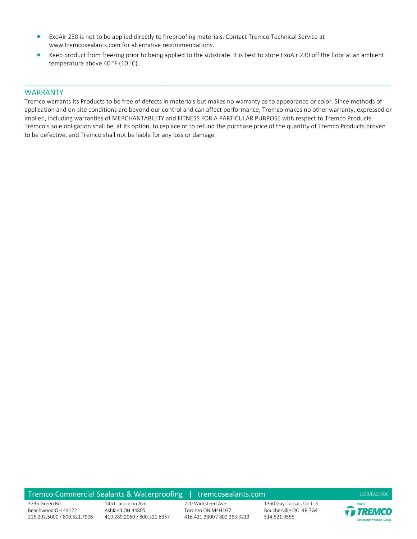- ExoAir 230 is not to be applied directly to fireproofing materials. Contact Tremco Technical Service at www.tremcosealants.com for alternative recommendations.
- Keep product from freezing prior to being applied to the substrate. It is best to store ExoAir 230 off the floor at an ambient temperature above 40 °F (10 °C).

#### WARRANTY

Tremco warrants its Products to be free of defects in materials but makes no warranty as to appearance or color. Since methods of application and on-site conditions are beyond our control and can affect performance, Tremco makes no other warranty, expressed or implied, including warranties of MERCHANTABILITY and FITNESS FOR A PARTICULAR PURPOSE with respect to Tremco Products. Tremco's sole obligation shall be, at its option, to replace or to refund the purchase price of the quantity of Tremco Products proven to be defective, and Tremco shall not be liable for any loss or damage.

\_\_\_\_\_\_\_\_\_\_\_\_\_\_\_\_\_\_\_\_\_\_\_\_\_\_\_\_\_\_\_\_\_\_\_\_\_\_\_\_\_\_\_\_\_\_\_\_\_\_\_\_\_\_\_\_\_\_\_\_\_\_\_\_\_\_\_\_\_\_\_\_\_\_\_\_\_\_\_\_\_\_\_\_\_\_\_\_\_\_

#### Tremco Commercial Sealants & Waterproofing | tremcosealants.com 1120/EA230DS

3735 Green Rd Beachwood OH 44122 216.292.5000 / 800.321.7906

1451 Jacobson Ave Ashland OH 44805 419.289.2050 / 800.321.6357

220 Wicksteed Ave Toronto ON M4H1G7 416.421.3300 / 800.363.3213

1350 Gay-Lussac, Unit: 3 Boucherville QC J4B 7G4 514.521.9555